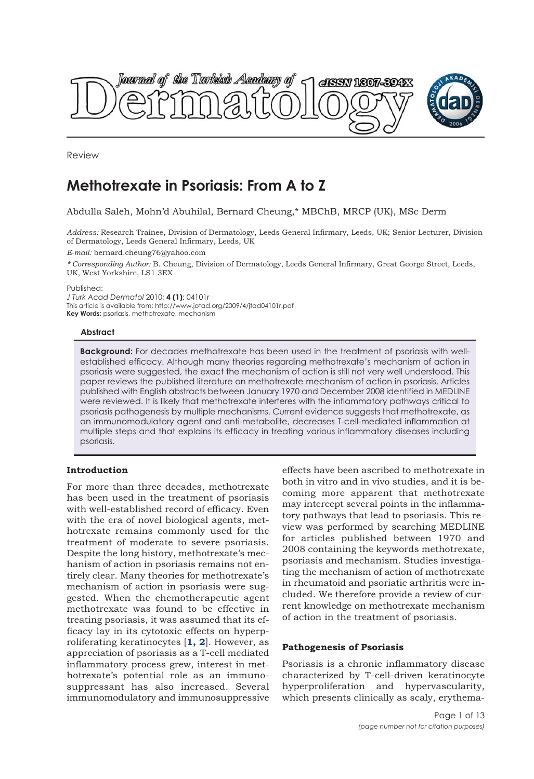

Review

# **Methotrexate in Psoriasis: From A to Z**

Abdulla Saleh, Mohn'd Abuhilal, Bernard Cheung,\* MBChB, MRCP (UK), MSc Derm

*Address:* Research Trainee, Division of Dermatology, Leeds General Infirmary, Leeds, UK; Senior Lecturer, Division of Dermatology, Leeds General Infirmary, Leeds, UK

*E-mail:* bernard.cheung76@yahoo.com

*\* Corresponding Author:* B. Cheung, Division of Dermatology, Leeds General Infirmary, Great George Street, Leeds, UK, West Yorkshire, LS1 3EX

Published:

*J Turk Acad Dermatol* 2010; **4 (1)**: 04101r This article is available from: http://www.jotad.org/2009/4/jtad04101r.pdf **Key Words:** psoriasis, methotrexate, mechanism

## **Abstract**

**Background:** For decades methotrexate has been used in the treatment of psoriasis with wellestablished efficacy. Although many theories regarding methotrexate's mechanism of action in psoriasis were suggested, the exact the mechanism of action is still not very well understood. This paper reviews the published literature on methotrexate mechanism of action in psoriasis. Articles published with English abstracts between January 1970 and December 2008 identified in MEDLINE were reviewed. It is likely that methotrexate interferes with the inflammatory pathways critical to psoriasis pathogenesis by multiple mechanisms. Current evidence suggests that methotrexate, as an immunomodulatory agent and anti-metabolite, decreases T-cell-mediated inflammation at multiple steps and that explains its efficacy in treating various inflammatory diseases including psoriasis.

## **Introduction**

For more than three decades, methotrexate has been used in the treatment of psoriasis with well-established record of efficacy. Even with the era of novel biological agents, methotrexate remains commonly used for the treatment of moderate to severe psoriasis. Despite the long history, methotrexate's mechanism of action in psoriasis remains not entirely clear. Many theories for methotrexate's mechanism of action in psoriasis were suggested. When the chemotherapeutic agent methotrexate was found to be effective in treating psoriasis, it was assumed that its efficacy lay in its cytotoxic effects on hyperproliferating keratinocytes [**1, 2**]. However, as appreciation of psoriasis as a T-cell mediated inflammatory process grew, interest in methotrexate's potential role as an immunosuppressant has also increased. Several immunomodulatory and immunosuppressive

effects have been ascribed to methotrexate in both in vitro and in vivo studies, and it is becoming more apparent that methotrexate may intercept several points in the inflammatory pathways that lead to psoriasis. This review was performed by searching MEDLINE for articles published between 1970 and 2008 containing the keywords methotrexate, psoriasis and mechanism. Studies investigating the mechanism of action of methotrexate in rheumatoid and psoriatic arthritis were included. We therefore provide a review of current knowledge on methotrexate mechanism of action in the treatment of psoriasis.

## **Pathogenesis of Psoriasis**

Psoriasis is a chronic inflammatory disease characterized by T-cell-driven keratinocyte hyperproliferation and hypervascularity, which presents clinically as scaly, erythema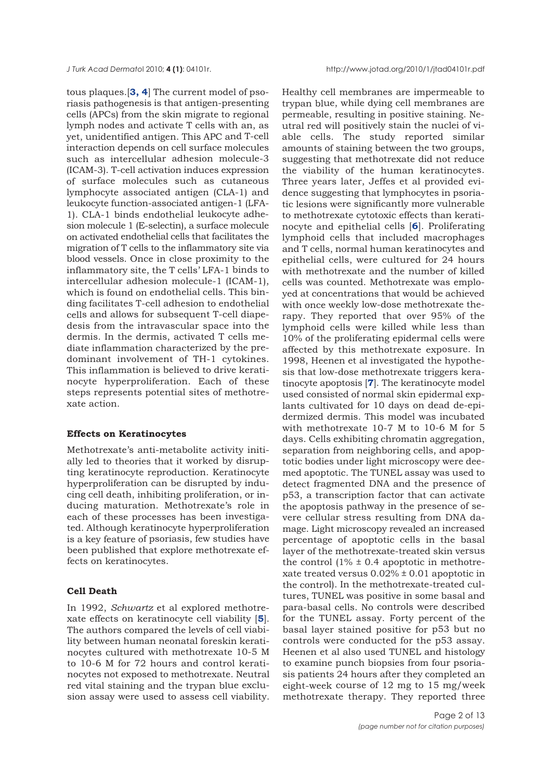tous plaques.[**3, 4**] The current model of psoriasis pathogenesis is that antigen-presenting cells (APCs) from the skin migrate to regional lymph nodes and activate T cells with an, as yet, unidentified antigen. This APC and T-cell interaction depends on cell surface molecules such as intercellular adhesion molecule-3 (ICAM-3). T-cell activation induces expression of surface molecules such as cutaneous lymphocyte associated antigen (CLA-1) and leukocyte function-associated antigen-1 (LFA-1). CLA-1 binds endothelial leukocyte adhesion molecule 1 (E-selectin), a surface molecule on activated endothelial cells that facilitates the migration of T cells to the inflammatory site via blood vessels. Once in close proximity to the inflammatory site, the T cells' LFA-1 binds to intercellular adhesion molecule-1 (ICAM-1), which is found on endothelial cells. This binding facilitates T-cell adhesion to endothelial cells and allows for subsequent T-cell diapedesis from the intravascular space into the dermis. In the dermis, activated T cells mediate inflammation characterized by the predominant involvement of TH-1 cytokines. This inflammation is believed to drive keratinocyte hyperproliferation. Each of these steps represents potential sites of methotrexate action.

## **Effects on Keratinocytes**

Methotrexate's anti-metabolite activity initially led to theories that it worked by disrupting keratinocyte reproduction. Keratinocyte hyperproliferation can be disrupted by inducing cell death, inhibiting proliferation, or inducing maturation. Methotrexate's role in each of these processes has been investigated. Although keratinocyte hyperproliferation is a key feature of psoriasis, few studies have been published that explore methotrexate effects on keratinocytes.

## **Cell Death**

In 1992, *Schwartz* et al explored methotrexate effects on keratinocyte cell viability [**5**]. The authors compared the levels of cell viability between human neonatal foreskin keratinocytes cultured with methotrexate 10-5 M to 10-6 M for 72 hours and control keratinocytes not exposed to methotrexate. Neutral red vital staining and the trypan blue exclusion assay were used to assess cell viability. Healthy cell membranes are impermeable to trypan blue, while dying cell membranes are permeable, resulting in positive staining. Neutral red will positively stain the nuclei of viable cells. The study reported similar amounts of staining between the two groups, suggesting that methotrexate did not reduce the viability of the human keratinocytes. Three years later, Jeffes et al provided evidence suggesting that lymphocytes in psoriatic lesions were significantly more vulnerable to methotrexate cytotoxic effects than keratinocyte and epithelial cells [**6**]. Proliferating lymphoid cells that included macrophages and T cells, normal human keratinocytes and epithelial cells, were cultured for 24 hours with methotrexate and the number of killed cells was counted. Methotrexate was employed at concentrations that would be achieved with once weekly low-dose methotrexate therapy. They reported that over 95% of the lymphoid cells were killed while less than 10% of the proliferating epidermal cells were affected by this methotrexate exposure. In 1998, Heenen et al investigated the hypothesis that low-dose methotrexate triggers keratinocyte apoptosis [**7**]. The keratinocyte model used consisted of normal skin epidermal explants cultivated for 10 days on dead de-epidermized dermis. This model was incubated with methotrexate 10-7 M to 10-6 M for 5 days. Cells exhibiting chromatin aggregation, separation from neighboring cells, and apoptotic bodies under light microscopy were deemed apoptotic. The TUNEL assay was used to detect fragmented DNA and the presence of p53, a transcription factor that can activate the apoptosis pathway in the presence of severe cellular stress resulting from DNA damage. Light microscopy revealed an increased percentage of apoptotic cells in the basal layer of the methotrexate-treated skin versus the control  $(1\% \pm 0.4)$  apoptotic in methotrexate treated versus  $0.02\% \pm 0.01$  apoptotic in the control). In the methotrexate-treated cultures, TUNEL was positive in some basal and para-basal cells. No controls were described for the TUNEL assay. Forty percent of the basal layer stained positive for p53 but no controls were conducted for the p53 assay. Heenen et al also used TUNEL and histology to examine punch biopsies from four psoriasis patients 24 hours after they completed an eight-week course of 12 mg to 15 mg/week methotrexate therapy. They reported three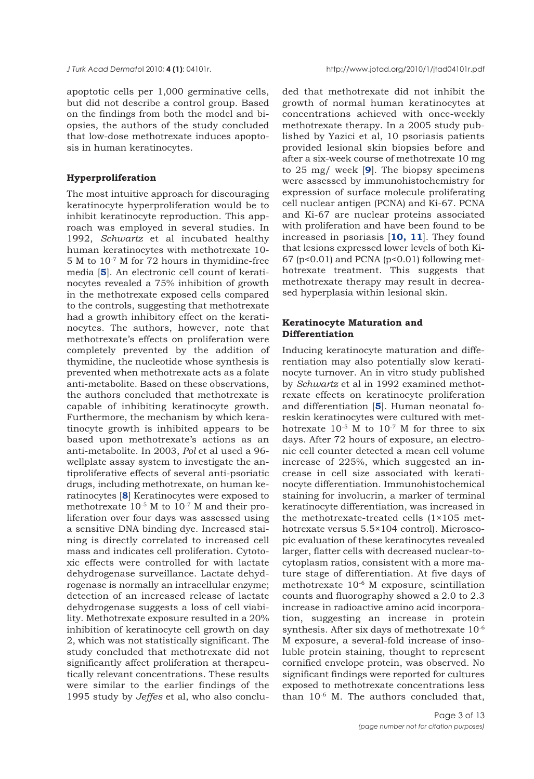apoptotic cells per 1,000 germinative cells, but did not describe a control group. Based on the findings from both the model and biopsies, the authors of the study concluded that low-dose methotrexate induces apoptosis in human keratinocytes.

## **Hyperproliferation**

The most intuitive approach for discouraging keratinocyte hyperproliferation would be to inhibit keratinocyte reproduction. This approach was employed in several studies. In 1992, *Schwartz* et al incubated healthy human keratinocytes with methotrexate 10- 5 M to 10-7 M for 72 hours in thymidine-free media [**5**]. An electronic cell count of keratinocytes revealed a 75% inhibition of growth in the methotrexate exposed cells compared to the controls, suggesting that methotrexate had a growth inhibitory effect on the keratinocytes. The authors, however, note that methotrexate's effects on proliferation were completely prevented by the addition of thymidine, the nucleotide whose synthesis is prevented when methotrexate acts as a folate anti-metabolite. Based on these observations, the authors concluded that methotrexate is capable of inhibiting keratinocyte growth. Furthermore, the mechanism by which keratinocyte growth is inhibited appears to be based upon methotrexate's actions as an anti-metabolite. In 2003, *Pol* et al used a 96 wellplate assay system to investigate the antiproliferative effects of several anti-psoriatic drugs, including methotrexate, on human keratinocytes [**8**] Keratinocytes were exposed to methotrexate 10-5 M to 10-7 M and their proliferation over four days was assessed using a sensitive DNA binding dye. Increased staining is directly correlated to increased cell mass and indicates cell proliferation. Cytotoxic effects were controlled for with lactate dehydrogenase surveillance. Lactate dehydrogenase is normally an intracellular enzyme; detection of an increased release of lactate dehydrogenase suggests a loss of cell viability. Methotrexate exposure resulted in a 20% inhibition of keratinocyte cell growth on day 2, which was not statistically significant. The study concluded that methotrexate did not significantly affect proliferation at therapeutically relevant concentrations. These results were similar to the earlier findings of the 1995 study by *Jeffes* et al, who also conclu-

ded that methotrexate did not inhibit the growth of normal human keratinocytes at concentrations achieved with once-weekly methotrexate therapy. In a 2005 study published by Yazici et al, 10 psoriasis patients provided lesional skin biopsies before and after a six-week course of methotrexate 10 mg to 25 mg/ week [**9**]. The biopsy specimens were assessed by immunohistochemistry for expression of surface molecule proliferating cell nuclear antigen (PCNA) and Ki-67. PCNA and Ki-67 are nuclear proteins associated with proliferation and have been found to be increased in psoriasis [**10, 11**]. They found that lesions expressed lower levels of both Ki- $67$  (p<0.01) and PCNA (p<0.01) following methotrexate treatment. This suggests that methotrexate therapy may result in decreased hyperplasia within lesional skin.

## **Keratinocyte Maturation and Differentiation**

Inducing keratinocyte maturation and differentiation may also potentially slow keratinocyte turnover. An in vitro study published by *Schwartz* et al in 1992 examined methotrexate effects on keratinocyte proliferation and differentiation [**5**]. Human neonatal foreskin keratinocytes were cultured with methotrexate  $10^{-5}$  M to  $10^{-7}$  M for three to six days. After 72 hours of exposure, an electronic cell counter detected a mean cell volume increase of 225%, which suggested an increase in cell size associated with keratinocyte differentiation. Immunohistochemical staining for involucrin, a marker of terminal keratinocyte differentiation, was increased in the methotrexate-treated cells (1×105 methotrexate versus 5.5×104 control). Microscopic evaluation of these keratinocytes revealed larger, flatter cells with decreased nuclear-tocytoplasm ratios, consistent with a more mature stage of differentiation. At five days of methotrexate 10-6 M exposure, scintillation counts and fluorography showed a 2.0 to 2.3 increase in radioactive amino acid incorporation, suggesting an increase in protein synthesis. After six days of methotrexate 10-6 M exposure, a several-fold increase of insoluble protein staining, thought to represent cornified envelope protein, was observed. No significant findings were reported for cultures exposed to methotrexate concentrations less than  $10^{-6}$  M. The authors concluded that,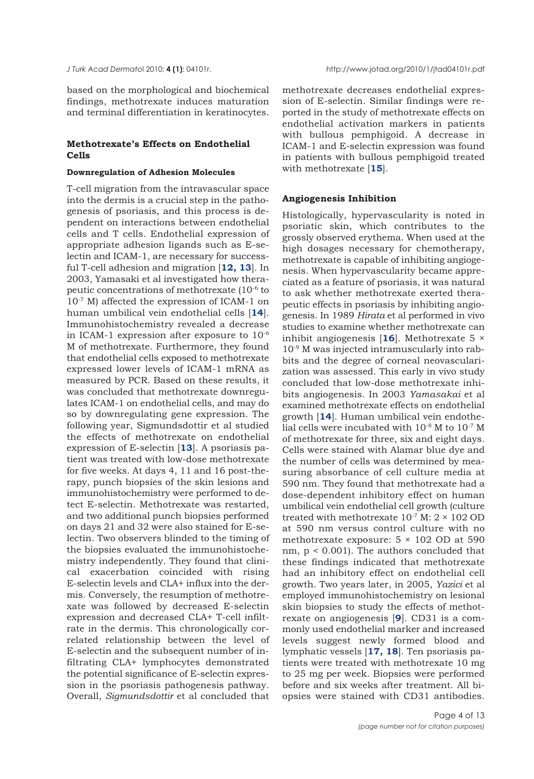based on the morphological and biochemical findings, methotrexate induces maturation and terminal differentiation in keratinocytes.

## **Methotrexate's Effects on Endothelial Cells**

## **Downregulation of Adhesion Molecules**

T-cell migration from the intravascular space into the dermis is a crucial step in the pathogenesis of psoriasis, and this process is dependent on interactions between endothelial cells and T cells. Endothelial expression of appropriate adhesion ligands such as E-selectin and ICAM-1, are necessary for successful T-cell adhesion and migration [**12, 13**]. In 2003, Yamasaki et al investigated how therapeutic concentrations of methotrexate (10-6 to 10-7 M) affected the expression of ICAM-1 on human umbilical vein endothelial cells [**14**]. Immunohistochemistry revealed a decrease in ICAM-1 expression after exposure to 10-6 M of methotrexate. Furthermore, they found that endothelial cells exposed to methotrexate expressed lower levels of ICAM-1 mRNA as measured by PCR. Based on these results, it was concluded that methotrexate downregulates ICAM-1 on endothelial cells, and may do so by downregulating gene expression. The following year, Sigmundsdottir et al studied the effects of methotrexate on endothelial expression of E-selectin [**13**]. A psoriasis patient was treated with low-dose methotrexate for five weeks. At days 4, 11 and 16 post-therapy, punch biopsies of the skin lesions and immunohistochemistry were performed to detect E-selectin. Methotrexate was restarted, and two additional punch biopsies performed on days 21 and 32 were also stained for E-selectin. Two observers blinded to the timing of the biopsies evaluated the immunohistochemistry independently. They found that clinical exacerbation coincided with rising E-selectin levels and CLA+ influx into the dermis. Conversely, the resumption of methotrexate was followed by decreased E-selectin expression and decreased CLA+ T-cell infiltrate in the dermis. This chronologically correlated relationship between the level of E-selectin and the subsequent number of infiltrating CLA+ lymphocytes demonstrated the potential significance of E-selectin expression in the psoriasis pathogenesis pathway. Overall, *Sigmundsdottir* et al concluded that

methotrexate decreases endothelial expression of E-selectin. Similar findings were reported in the study of methotrexate effects on endothelial activation markers in patients with bullous pemphigoid. A decrease in ICAM-1 and E-selectin expression was found in patients with bullous pemphigoid treated with methotrexate [**15**].

### **Angiogenesis Inhibition**

Histologically, hypervascularity is noted in psoriatic skin, which contributes to the grossly observed erythema. When used at the high dosages necessary for chemotherapy, methotrexate is capable of inhibiting angiogenesis. When hypervascularity became appreciated as a feature of psoriasis, it was natural to ask whether methotrexate exerted therapeutic effects in psoriasis by inhibiting angiogenesis. In 1989 *Hirata* et al performed in vivo studies to examine whether methotrexate can inhibit angiogenesis [**16**]. Methotrexate 5 × 10-9 M was injected intramuscularly into rabbits and the degree of corneal neovascularization was assessed. This early in vivo study concluded that low-dose methotrexate inhibits angiogenesis. In 2003 *Yamasakai* et al examined methotrexate effects on endothelial growth [**14**]. Human umbilical vein endothelial cells were incubated with 10-8 M to 10-7 M of methotrexate for three, six and eight days. Cells were stained with Alamar blue dye and the number of cells was determined by measuring absorbance of cell culture media at 590 nm. They found that methotrexate had a dose-dependent inhibitory effect on human umbilical vein endothelial cell growth (culture treated with methotrexate  $10^{-7}$  M:  $2 \times 102$  OD at 590 nm versus control culture with no methotrexate exposure:  $5 \times 102$  OD at 590 nm, p < 0.001). The authors concluded that these findings indicated that methotrexate had an inhibitory effect on endothelial cell growth. Two years later, in 2005, *Yazici* et al employed immunohistochemistry on lesional skin biopsies to study the effects of methotrexate on angiogenesis [**9**]. CD31 is a commonly used endothelial marker and increased levels suggest newly formed blood and lymphatic vessels [**17, 18**]. Ten psoriasis patients were treated with methotrexate 10 mg to 25 mg per week. Biopsies were performed before and six weeks after treatment. All biopsies were stained with CD31 antibodies.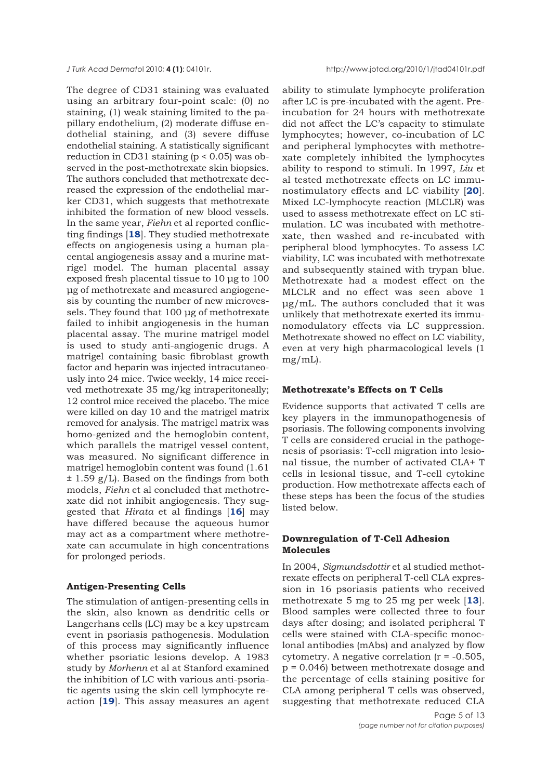The degree of CD31 staining was evaluated using an arbitrary four-point scale: (0) no staining, (1) weak staining limited to the papillary endothelium, (2) moderate diffuse endothelial staining, and (3) severe diffuse endothelial staining. A statistically significant reduction in CD31 staining (p < 0.05) was observed in the post-methotrexate skin biopsies. The authors concluded that methotrexate decreased the expression of the endothelial marker CD31, which suggests that methotrexate inhibited the formation of new blood vessels. In the same year, *Fiehn* et al reported conflicting findings [**18**]. They studied methotrexate effects on angiogenesis using a human placental angiogenesis assay and a murine matrigel model. The human placental assay exposed fresh placental tissue to 10 μg to 100 μg of methotrexate and measured angiogenesis by counting the number of new microvessels. They found that 100 μg of methotrexate failed to inhibit angiogenesis in the human placental assay. The murine matrigel model is used to study anti-angiogenic drugs. A matrigel containing basic fibroblast growth factor and heparin was injected intracutaneously into 24 mice. Twice weekly, 14 mice received methotrexate 35 mg/kg intraperitoneally; 12 control mice received the placebo. The mice were killed on day 10 and the matrigel matrix removed for analysis. The matrigel matrix was homo-genized and the hemoglobin content, which parallels the matrigel vessel content, was measured. No significant difference in matrigel hemoglobin content was found (1.61 ± 1.59 g/L). Based on the findings from both models, *Fiehn* et al concluded that methotrexate did not inhibit angiogenesis. They suggested that *Hirata* et al findings [**16**] may have differed because the aqueous humor may act as a compartment where methotrexate can accumulate in high concentrations for prolonged periods.

## **Antigen-Presenting Cells**

The stimulation of antigen-presenting cells in the skin, also known as dendritic cells or Langerhans cells (LC) may be a key upstream event in psoriasis pathogenesis. Modulation of this process may significantly influence whether psoriatic lesions develop. A 1983 study by *Morhenn* et al at Stanford examined the inhibition of LC with various anti-psoriatic agents using the skin cell lymphocyte reaction [**19**]. This assay measures an agent

ability to stimulate lymphocyte proliferation after LC is pre-incubated with the agent. Preincubation for 24 hours with methotrexate did not affect the LC's capacity to stimulate lymphocytes; however, co-incubation of LC and peripheral lymphocytes with methotrexate completely inhibited the lymphocytes ability to respond to stimuli. In 1997, *Liu* et al tested methotrexate effects on LC immunostimulatory effects and LC viability [**20**]. Mixed LC-lymphocyte reaction (MLCLR) was used to assess methotrexate effect on LC stimulation. LC was incubated with methotrexate, then washed and re-incubated with peripheral blood lymphocytes. To assess LC viability, LC was incubated with methotrexate and subsequently stained with trypan blue. Methotrexate had a modest effect on the MLCLR and no effect was seen above 1 μg/mL. The authors concluded that it was unlikely that methotrexate exerted its immunomodulatory effects via LC suppression. Methotrexate showed no effect on LC viability, even at very high pharmacological levels (1 mg/mL).

## **Methotrexate's Effects on T Cells**

Evidence supports that activated T cells are key players in the immunopathogenesis of psoriasis. The following components involving T cells are considered crucial in the pathogenesis of psoriasis: T-cell migration into lesional tissue, the number of activated CLA+ T cells in lesional tissue, and T-cell cytokine production. How methotrexate affects each of these steps has been the focus of the studies listed below.

## **Downregulation of T-Cell Adhesion Molecules**

In 2004, *Sigmundsdottir* et al studied methotrexate effects on peripheral T-cell CLA expression in 16 psoriasis patients who received methotrexate 5 mg to 25 mg per week [**13**]. Blood samples were collected three to four days after dosing; and isolated peripheral T cells were stained with CLA-specific monoclonal antibodies (mAbs) and analyzed by flow cytometry. A negative correlation  $(r = -0.505)$ , p = 0.046) between methotrexate dosage and the percentage of cells staining positive for CLA among peripheral T cells was observed, suggesting that methotrexate reduced CLA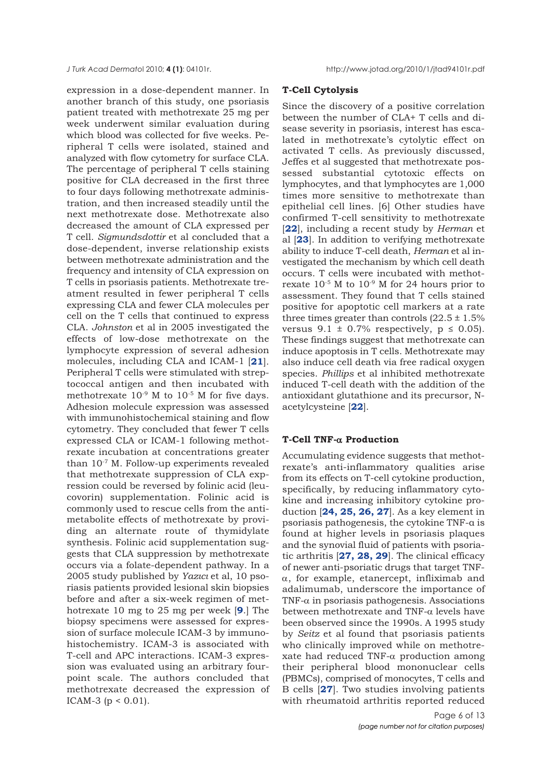*J Turk Acad Dermato*l 2010; **4 (1)**: 04101r. http://www.jotad.org/2010/1/jtad94101r.pdf

expression in a dose-dependent manner. In another branch of this study, one psoriasis patient treated with methotrexate 25 mg per week underwent similar evaluation during which blood was collected for five weeks. Peripheral T cells were isolated, stained and analyzed with flow cytometry for surface CLA. The percentage of peripheral T cells staining positive for CLA decreased in the first three to four days following methotrexate administration, and then increased steadily until the next methotrexate dose. Methotrexate also decreased the amount of CLA expressed per T cell. *Sigmundsdottir* et al concluded that a dose-dependent, inverse relationship exists between methotrexate administration and the frequency and intensity of CLA expression on T cells in psoriasis patients. Methotrexate treatment resulted in fewer peripheral T cells expressing CLA and fewer CLA molecules per cell on the T cells that continued to express CLA. *Johnston* et al in 2005 investigated the effects of low-dose methotrexate on the lymphocyte expression of several adhesion molecules, including CLA and ICAM-1 [**21**]. Peripheral T cells were stimulated with streptococcal antigen and then incubated with methotrexate 10-9 M to 10-5 M for five days. Adhesion molecule expression was assessed with immunohistochemical staining and flow cytometry. They concluded that fewer T cells expressed CLA or ICAM-1 following methotrexate incubation at concentrations greater than 10-7 M. Follow-up experiments revealed that methotrexate suppression of CLA expression could be reversed by folinic acid (leucovorin) supplementation. Folinic acid is commonly used to rescue cells from the antimetabolite effects of methotrexate by providing an alternate route of thymidylate synthesis. Folinic acid supplementation suggests that CLA suppression by methotrexate occurs via a folate-dependent pathway. In a 2005 study published by *Yazıcı* et al, 10 psoriasis patients provided lesional skin biopsies before and after a six-week regimen of methotrexate 10 mg to 25 mg per week [**9**.] The biopsy specimens were assessed for expression of surface molecule ICAM-3 by immunohistochemistry. ICAM-3 is associated with T-cell and APC interactions. ICAM-3 expression was evaluated using an arbitrary fourpoint scale. The authors concluded that methotrexate decreased the expression of ICAM-3 ( $p < 0.01$ ).

#### **T-Cell Cytolysis**

Since the discovery of a positive correlation between the number of CLA+ T cells and disease severity in psoriasis, interest has escalated in methotrexate's cytolytic effect on activated T cells. As previously discussed, Jeffes et al suggested that methotrexate possessed substantial cytotoxic effects on lymphocytes, and that lymphocytes are 1,000 times more sensitive to methotrexate than epithelial cell lines. [6] Other studies have confirmed T-cell sensitivity to methotrexate [**22**], including a recent study by *Herman* et al [**23**]. In addition to verifying methotrexate ability to induce T-cell death, *Herman* et al investigated the mechanism by which cell death occurs. T cells were incubated with methotrexate 10-5 M to 10-9 M for 24 hours prior to assessment. They found that T cells stained positive for apoptotic cell markers at a rate three times greater than controls  $(22.5 \pm 1.5\%)$ versus  $9.1 \pm 0.7\%$  respectively,  $p \le 0.05$ ). These findings suggest that methotrexate can induce apoptosis in T cells. Methotrexate may also induce cell death via free radical oxygen species. *Phillips* et al inhibited methotrexate induced T-cell death with the addition of the antioxidant glutathione and its precursor, Nacetylcysteine [**22**].

## **T-Cell TNF-**α **Production**

Accumulating evidence suggests that methotrexate's anti-inflammatory qualities arise from its effects on T-cell cytokine production, specifically, by reducing inflammatory cytokine and increasing inhibitory cytokine production [**24, 25, 26, 27**]. As a key element in psoriasis pathogenesis, the cytokine TNF-α is found at higher levels in psoriasis plaques and the synovial fluid of patients with psoriatic arthritis [**27, 28, 29**]. The clinical efficacy of newer anti-psoriatic drugs that target TNFα, for example, etanercept, infliximab and adalimumab, underscore the importance of TNF- $\alpha$  in psoriasis pathogenesis. Associations between methotrexate and TNF-α levels have been observed since the 1990s. A 1995 study by *Seitz* et al found that psoriasis patients who clinically improved while on methotrexate had reduced TNF-α production among their peripheral blood mononuclear cells (PBMCs), comprised of monocytes, T cells and B cells [**27**]. Two studies involving patients with rheumatoid arthritis reported reduced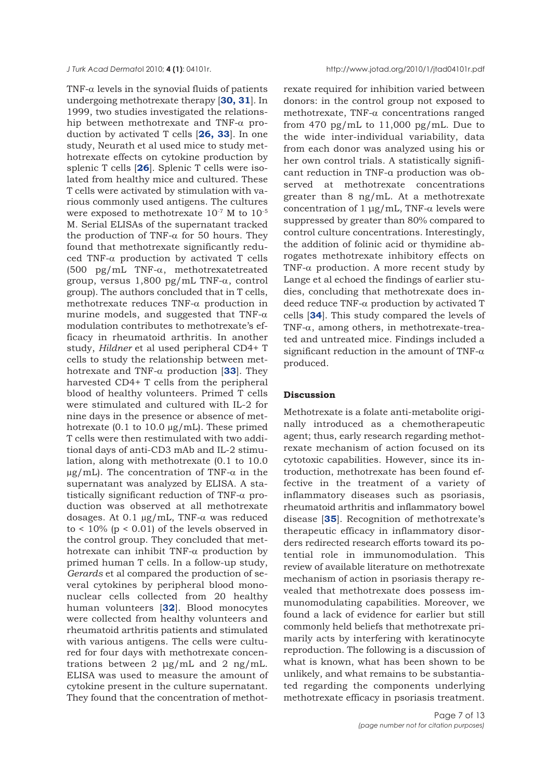TNF- $\alpha$  levels in the synovial fluids of patients undergoing methotrexate therapy [**30, 31**]. In 1999, two studies investigated the relationship between methotrexate and TNF-α production by activated T cells [**26, 33**]. In one study, Neurath et al used mice to study methotrexate effects on cytokine production by splenic T cells [**26**]. Splenic T cells were isolated from healthy mice and cultured. These T cells were activated by stimulation with various commonly used antigens. The cultures were exposed to methotrexate  $10^{-7}$  M to  $10^{-5}$ M. Serial ELISAs of the supernatant tracked the production of TNF- $α$  for 50 hours. They found that methotrexate significantly reduced TNF-α production by activated T cells (500 pg/mL TNF-α, methotrexatetreated group, versus 1,800 pg/mL TNF-α, control group). The authors concluded that in T cells, methotrexate reduces TNF-α production in murine models, and suggested that TNF- $\alpha$ modulation contributes to methotrexate's efficacy in rheumatoid arthritis. In another study, *Hildner* et al used peripheral CD4+ T cells to study the relationship between methotrexate and TNF-α production [**33**]. They harvested CD4+ T cells from the peripheral blood of healthy volunteers. Primed T cells were stimulated and cultured with IL-2 for nine days in the presence or absence of methotrexate  $(0.1 \text{ to } 10.0 \text{ µg/mL})$ . These primed T cells were then restimulated with two additional days of anti-CD3 mAb and IL-2 stimulation, along with methotrexate (0.1 to 10.0  $\mu$ g/mL). The concentration of TNF- $\alpha$  in the supernatant was analyzed by ELISA. A statistically significant reduction of TNF-α production was observed at all methotrexate dosages. At 0.1  $\mu$ g/mL, TNF-α was reduced to  $\langle 10\% (p \le 0.01)$  of the levels observed in the control group. They concluded that methotrexate can inhibit TNF-α production by primed human T cells. In a follow-up study, *Gerards* et al compared the production of several cytokines by peripheral blood mononuclear cells collected from 20 healthy human volunteers [**32**]. Blood monocytes were collected from healthy volunteers and rheumatoid arthritis patients and stimulated with various antigens. The cells were cultured for four days with methotrexate concentrations between 2 μg/mL and 2 ng/mL. ELISA was used to measure the amount of cytokine present in the culture supernatant. They found that the concentration of methotrexate required for inhibition varied between donors: in the control group not exposed to methotrexate, TNF-α concentrations ranged from 470 pg/mL to 11,000 pg/mL. Due to the wide inter-individual variability, data from each donor was analyzed using his or her own control trials. A statistically significant reduction in TNF-α production was observed at methotrexate concentrations greater than 8 ng/mL. At a methotrexate concentration of 1  $\mu$ g/mL, TNF- $\alpha$  levels were suppressed by greater than 80% compared to control culture concentrations. Interestingly, the addition of folinic acid or thymidine abrogates methotrexate inhibitory effects on TNF-α production. A more recent study by Lange et al echoed the findings of earlier studies, concluding that methotrexate does indeed reduce TNF-α production by activated T cells [**34**]. This study compared the levels of TNF-α, among others, in methotrexate-treated and untreated mice. Findings included a significant reduction in the amount of TNF- $\alpha$ produced.

#### **Discussion**

Methotrexate is a folate anti-metabolite originally introduced as a chemotherapeutic agent; thus, early research regarding methotrexate mechanism of action focused on its cytotoxic capabilities. However, since its introduction, methotrexate has been found effective in the treatment of a variety of inflammatory diseases such as psoriasis, rheumatoid arthritis and inflammatory bowel disease [**35**]. Recognition of methotrexate's therapeutic efficacy in inflammatory disorders redirected research efforts toward its potential role in immunomodulation. This review of available literature on methotrexate mechanism of action in psoriasis therapy revealed that methotrexate does possess immunomodulating capabilities. Moreover, we found a lack of evidence for earlier but still commonly held beliefs that methotrexate primarily acts by interfering with keratinocyte reproduction. The following is a discussion of what is known, what has been shown to be unlikely, and what remains to be substantiated regarding the components underlying methotrexate efficacy in psoriasis treatment.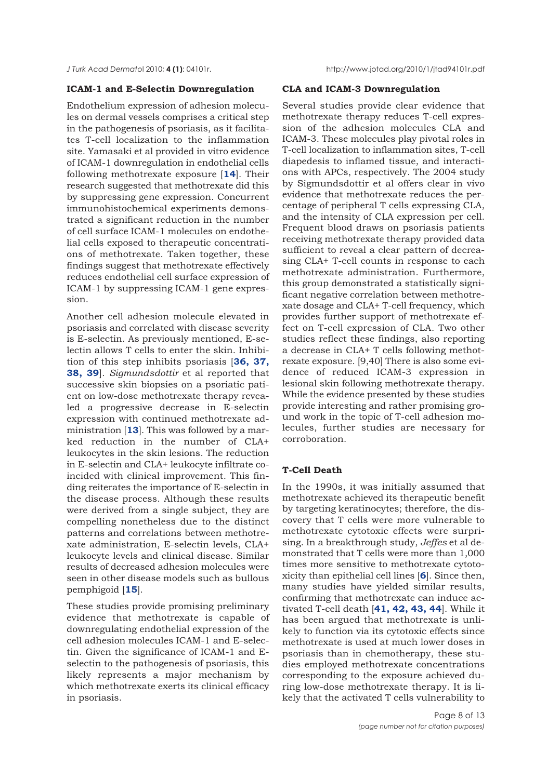*J Turk Acad Dermato*l 2010; **4 (1)**: 04101r. http://www.jotad.org/2010/1/jtad94101r.pdf

## **ICAM-1 and E-Selectin Downregulation**

Endothelium expression of adhesion molecules on dermal vessels comprises a critical step in the pathogenesis of psoriasis, as it facilitates T-cell localization to the inflammation site. Yamasaki et al provided in vitro evidence of ICAM-1 downregulation in endothelial cells following methotrexate exposure [**14**]. Their research suggested that methotrexate did this by suppressing gene expression. Concurrent immunohistochemical experiments demonstrated a significant reduction in the number of cell surface ICAM-1 molecules on endothelial cells exposed to therapeutic concentrations of methotrexate. Taken together, these findings suggest that methotrexate effectively reduces endothelial cell surface expression of ICAM-1 by suppressing ICAM-1 gene expression.

Another cell adhesion molecule elevated in psoriasis and correlated with disease severity is E-selectin. As previously mentioned, E-selectin allows T cells to enter the skin. Inhibition of this step inhibits psoriasis [**36, 37, 38, 39**]. *Sigmundsdottir* et al reported that successive skin biopsies on a psoriatic patient on low-dose methotrexate therapy revealed a progressive decrease in E-selectin expression with continued methotrexate administration [**13**]. This was followed by a marked reduction in the number of CLA+ leukocytes in the skin lesions. The reduction in E-selectin and CLA+ leukocyte infiltrate coincided with clinical improvement. This finding reiterates the importance of E-selectin in the disease process. Although these results were derived from a single subject, they are compelling nonetheless due to the distinct patterns and correlations between methotrexate administration, E-selectin levels, CLA+ leukocyte levels and clinical disease. Similar results of decreased adhesion molecules were seen in other disease models such as bullous pemphigoid [**15**].

These studies provide promising preliminary evidence that methotrexate is capable of downregulating endothelial expression of the cell adhesion molecules ICAM-1 and E-selectin. Given the significance of ICAM-1 and Eselectin to the pathogenesis of psoriasis, this likely represents a major mechanism by which methotrexate exerts its clinical efficacy in psoriasis.

## **CLA and ICAM-3 Downregulation**

Several studies provide clear evidence that methotrexate therapy reduces T-cell expression of the adhesion molecules CLA and ICAM-3. These molecules play pivotal roles in T-cell localization to inflammation sites, T-cell diapedesis to inflamed tissue, and interactions with APCs, respectively. The 2004 study by Sigmundsdottir et al offers clear in vivo evidence that methotrexate reduces the percentage of peripheral T cells expressing CLA, and the intensity of CLA expression per cell. Frequent blood draws on psoriasis patients receiving methotrexate therapy provided data sufficient to reveal a clear pattern of decreasing CLA+ T-cell counts in response to each methotrexate administration. Furthermore, this group demonstrated a statistically significant negative correlation between methotrexate dosage and CLA+ T-cell frequency, which provides further support of methotrexate effect on T-cell expression of CLA. Two other studies reflect these findings, also reporting a decrease in CLA+ T cells following methotrexate exposure. [9,40] There is also some evidence of reduced ICAM-3 expression in lesional skin following methotrexate therapy. While the evidence presented by these studies provide interesting and rather promising ground work in the topic of T-cell adhesion molecules, further studies are necessary for corroboration.

## **T-Cell Death**

In the 1990s, it was initially assumed that methotrexate achieved its therapeutic benefit by targeting keratinocytes; therefore, the discovery that T cells were more vulnerable to methotrexate cytotoxic effects were surprising. In a breakthrough study, *Jeffes* et al demonstrated that T cells were more than 1,000 times more sensitive to methotrexate cytotoxicity than epithelial cell lines [**6**]. Since then, many studies have yielded similar results, confirming that methotrexate can induce activated T-cell death [**41, 42, 43, 44**]. While it has been argued that methotrexate is unlikely to function via its cytotoxic effects since methotrexate is used at much lower doses in psoriasis than in chemotherapy, these studies employed methotrexate concentrations corresponding to the exposure achieved during low-dose methotrexate therapy. It is likely that the activated T cells vulnerability to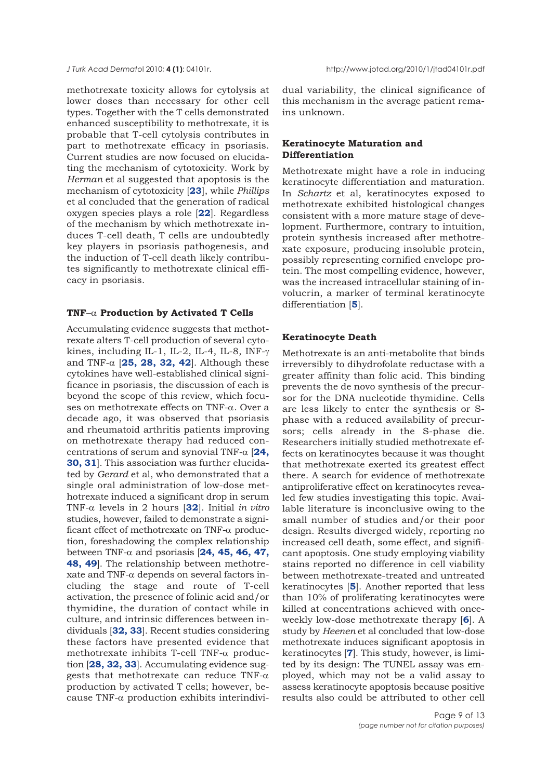methotrexate toxicity allows for cytolysis at lower doses than necessary for other cell types. Together with the T cells demonstrated enhanced susceptibility to methotrexate, it is probable that T-cell cytolysis contributes in part to methotrexate efficacy in psoriasis. Current studies are now focused on elucidating the mechanism of cytotoxicity. Work by *Herman* et al suggested that apoptosis is the mechanism of cytotoxicity [**23**], while *Phillips* et al concluded that the generation of radical oxygen species plays a role [**22**]. Regardless of the mechanism by which methotrexate induces T-cell death, T cells are undoubtedly key players in psoriasis pathogenesis, and the induction of T-cell death likely contributes significantly to methotrexate clinical efficacy in psoriasis.

## **TNF**−α **Production by Activated T Cells**

Accumulating evidence suggests that methotrexate alters T-cell production of several cytokines, including IL-1, IL-2, IL-4, IL-8, INF-γ and TNF- $\alpha$  [25, 28, 32, 42]. Although these cytokines have well-established clinical significance in psoriasis, the discussion of each is beyond the scope of this review, which focuses on methotrexate effects on TNF-α. Over a decade ago, it was observed that psoriasis and rheumatoid arthritis patients improving on methotrexate therapy had reduced concentrations of serum and synovial TNF-α [**24, 30, 31**]. This association was further elucidated by *Gerard* et al, who demonstrated that a single oral administration of low-dose methotrexate induced a significant drop in serum TNF-α levels in 2 hours [**32**]. Initial *in vitro* studies, however, failed to demonstrate a significant effect of methotrexate on TNF-α production, foreshadowing the complex relationship between TNF-α and psoriasis [**24, 45, 46, 47, 48, 49**]. The relationship between methotrexate and TNF-α depends on several factors including the stage and route of T-cell activation, the presence of folinic acid and/or thymidine, the duration of contact while in culture, and intrinsic differences between individuals [**32, 33**]. Recent studies considering these factors have presented evidence that methotrexate inhibits T-cell TNF-α production [**28, 32, 33**]. Accumulating evidence suggests that methotrexate can reduce TNF- $\alpha$ production by activated T cells; however, because TNF-α production exhibits interindividual variability, the clinical significance of this mechanism in the average patient remains unknown.

## **Keratinocyte Maturation and Differentiation**

Methotrexate might have a role in inducing keratinocyte differentiation and maturation. In *Schartz* et al, keratinocytes exposed to methotrexate exhibited histological changes consistent with a more mature stage of development. Furthermore, contrary to intuition, protein synthesis increased after methotrexate exposure, producing insoluble protein, possibly representing cornified envelope protein. The most compelling evidence, however, was the increased intracellular staining of involucrin, a marker of terminal keratinocyte differentiation [**5**].

## **Keratinocyte Death**

Methotrexate is an anti-metabolite that binds irreversibly to dihydrofolate reductase with a greater affinity than folic acid. This binding prevents the de novo synthesis of the precursor for the DNA nucleotide thymidine. Cells are less likely to enter the synthesis or Sphase with a reduced availability of precursors; cells already in the S-phase die. Researchers initially studied methotrexate effects on keratinocytes because it was thought that methotrexate exerted its greatest effect there. A search for evidence of methotrexate antiproliferative effect on keratinocytes revealed few studies investigating this topic. Available literature is inconclusive owing to the small number of studies and/or their poor design. Results diverged widely, reporting no increased cell death, some effect, and significant apoptosis. One study employing viability stains reported no difference in cell viability between methotrexate-treated and untreated keratinocytes [**5**]. Another reported that less than 10% of proliferating keratinocytes were killed at concentrations achieved with onceweekly low-dose methotrexate therapy [**6**]. A study by *Heenen* et al concluded that low-dose methotrexate induces significant apoptosis in keratinocytes [**7**]. This study, however, is limited by its design: The TUNEL assay was employed, which may not be a valid assay to assess keratinocyte apoptosis because positive results also could be attributed to other cell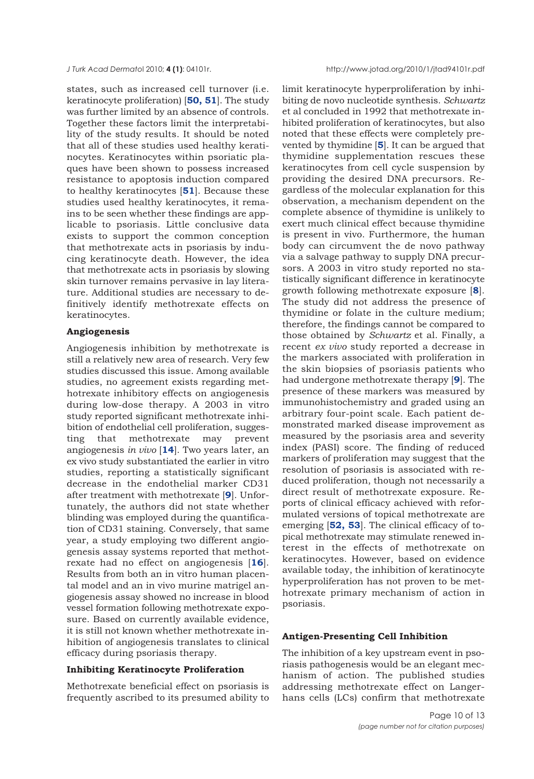states, such as increased cell turnover (i.e. keratinocyte proliferation) [**50, 51**]. The study was further limited by an absence of controls. Together these factors limit the interpretability of the study results. It should be noted that all of these studies used healthy keratinocytes. Keratinocytes within psoriatic plaques have been shown to possess increased resistance to apoptosis induction compared to healthy keratinocytes [**51**]. Because these studies used healthy keratinocytes, it remains to be seen whether these findings are applicable to psoriasis. Little conclusive data exists to support the common conception that methotrexate acts in psoriasis by inducing keratinocyte death. However, the idea that methotrexate acts in psoriasis by slowing skin turnover remains pervasive in lay literature. Additional studies are necessary to definitively identify methotrexate effects on keratinocytes.

## **Angiogenesis**

Angiogenesis inhibition by methotrexate is still a relatively new area of research. Very few studies discussed this issue. Among available studies, no agreement exists regarding methotrexate inhibitory effects on angiogenesis during low-dose therapy. A 2003 in vitro study reported significant methotrexate inhibition of endothelial cell proliferation, suggesting that methotrexate may prevent angiogenesis *in vivo* [**14**]. Two years later, an ex vivo study substantiated the earlier in vitro studies, reporting a statistically significant decrease in the endothelial marker CD31 after treatment with methotrexate [**9**]. Unfortunately, the authors did not state whether blinding was employed during the quantification of CD31 staining. Conversely, that same year, a study employing two different angiogenesis assay systems reported that methotrexate had no effect on angiogenesis [**16**]. Results from both an in vitro human placental model and an in vivo murine matrigel angiogenesis assay showed no increase in blood vessel formation following methotrexate exposure. Based on currently available evidence, it is still not known whether methotrexate inhibition of angiogenesis translates to clinical efficacy during psoriasis therapy.

## **Inhibiting Keratinocyte Proliferation**

Methotrexate beneficial effect on psoriasis is frequently ascribed to its presumed ability to

*J Turk Acad Dermato*l 2010; **4 (1)**: 04101r. http://www.jotad.org/2010/1/jtad94101r.pdf

limit keratinocyte hyperproliferation by inhibiting de novo nucleotide synthesis. *Schwartz* et al concluded in 1992 that methotrexate inhibited proliferation of keratinocytes, but also noted that these effects were completely prevented by thymidine [**5**]. It can be argued that thymidine supplementation rescues these keratinocytes from cell cycle suspension by providing the desired DNA precursors. Regardless of the molecular explanation for this observation, a mechanism dependent on the complete absence of thymidine is unlikely to exert much clinical effect because thymidine is present in vivo. Furthermore, the human body can circumvent the de novo pathway via a salvage pathway to supply DNA precursors. A 2003 in vitro study reported no statistically significant difference in keratinocyte growth following methotrexate exposure [**8**]. The study did not address the presence of thymidine or folate in the culture medium; therefore, the findings cannot be compared to those obtained by *Schwartz* et al. Finally, a recent *ex vivo* study reported a decrease in the markers associated with proliferation in the skin biopsies of psoriasis patients who had undergone methotrexate therapy [**9**]. The presence of these markers was measured by immunohistochemistry and graded using an arbitrary four-point scale. Each patient demonstrated marked disease improvement as measured by the psoriasis area and severity index (PASI) score. The finding of reduced markers of proliferation may suggest that the resolution of psoriasis is associated with reduced proliferation, though not necessarily a direct result of methotrexate exposure. Reports of clinical efficacy achieved with reformulated versions of topical methotrexate are emerging [**52, 53**]. The clinical efficacy of topical methotrexate may stimulate renewed interest in the effects of methotrexate on keratinocytes. However, based on evidence available today, the inhibition of keratinocyte hyperproliferation has not proven to be methotrexate primary mechanism of action in psoriasis.

## **Antigen-Presenting Cell Inhibition**

The inhibition of a key upstream event in psoriasis pathogenesis would be an elegant mechanism of action. The published studies addressing methotrexate effect on Langerhans cells (LCs) confirm that methotrexate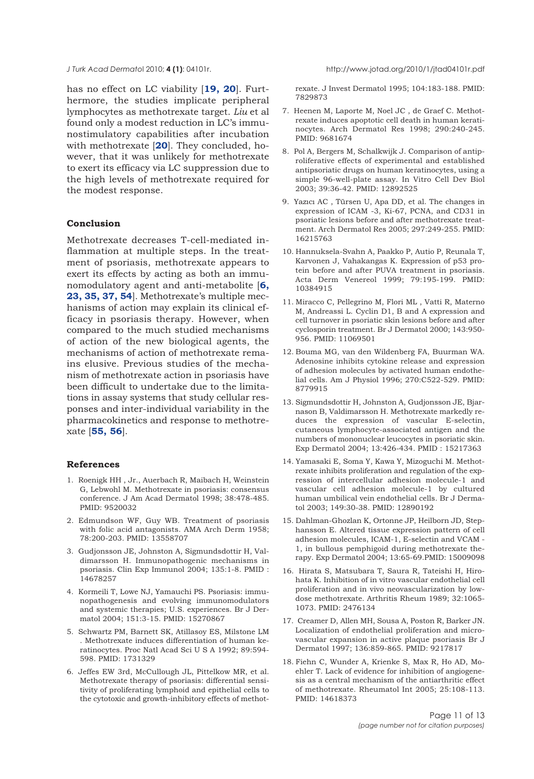has no effect on LC viability [**19, 20**]. Furthermore, the studies implicate peripheral lymphocytes as methotrexate target. *Liu* et al found only a modest reduction in LC's immunostimulatory capabilities after incubation with methotrexate [**20**]. They concluded, however, that it was unlikely for methotrexate to exert its efficacy via LC suppression due to the high levels of methotrexate required for the modest response.

## **Conclusion**

Methotrexate decreases T-cell-mediated inflammation at multiple steps. In the treatment of psoriasis, methotrexate appears to exert its effects by acting as both an immunomodulatory agent and anti-metabolite [**6, 23, 35, 37, 54**]. Methotrexate's multiple mechanisms of action may explain its clinical efficacy in psoriasis therapy. However, when compared to the much studied mechanisms of action of the new biological agents, the mechanisms of action of methotrexate remains elusive. Previous studies of the mechanism of methotrexate action in psoriasis have been difficult to undertake due to the limitations in assay systems that study cellular responses and inter-individual variability in the pharmacokinetics and response to methotrexate [**55, 56**].

#### **References**

- 1. Roenigk HH , Jr., Auerbach R, Maibach H, Weinstein G, Lebwohl M. Methotrexate in psoriasis: consensus conference. J Am Acad Dermatol 1998; 38:478-485. PMID: 9520032
- 2. Edmundson WF, Guy WB. Treatment of psoriasis with folic acid antagonists. AMA Arch Derm 1958; 78:200-203. PMID: 13558707
- 3. Gudjonsson JE, Johnston A, Sigmundsdottir H, Valdimarsson H. Immunopathogenic mechanisms in psoriasis. Clin Exp Immunol 2004; 135:1-8. PMID : 14678257
- 4. Kormeili T, Lowe NJ, Yamauchi PS. Psoriasis: immunopathogenesis and evolving immunomodulators and systemic therapies; U.S. experiences. Br J Dermatol 2004; 151:3-15. PMID: 15270867
- 5. Schwartz PM, Barnett SK, Atillasoy ES, Milstone LM . Methotrexate induces differentiation of human keratinocytes. Proc Natl Acad Sci U S A 1992; 89:594- 598. PMID: 1731329
- 6. Jeffes EW 3rd, McCullough JL, Pittelkow MR, et al. Methotrexate therapy of psoriasis: differential sensitivity of proliferating lymphoid and epithelial cells to the cytotoxic and growth-inhibitory effects of methot-

*J Turk Acad Dermato*l 2010; **4 (1)**: 04101r. http://www.jotad.org/2010/1/jtad04101r.pdf

rexate. J Invest Dermatol 1995; 104:183-188. PMID: 7829873

- 7. Heenen M, Laporte M, Noel JC , de Graef C. Methotrexate induces apoptotic cell death in human keratinocytes. Arch Dermatol Res 1998; 290:240-245. PMID: 9681674
- 8. Pol A, Bergers M, Schalkwijk J. Comparison of antiproliferative effects of experimental and established antipsoriatic drugs on human keratinocytes, using a simple 96-well-plate assay. In Vitro Cell Dev Biol 2003; 39:36-42. PMID: 12892525
- 9. Yazıcı AC , Türsen U, Apa DD, et al. The changes in expression of ICAM -3, Ki-67, PCNA, and CD31 in psoriatic lesions before and after methotrexate treatment. Arch Dermatol Res 2005; 297:249-255. PMID: 16215763
- 10. Hannuksela-Svahn A, Paakko P, Autio P, Reunala T, Karvonen J, Vahakangas K. Expression of p53 protein before and after PUVA treatment in psoriasis. Acta Derm Venereol 1999; 79:195-199. PMID: 10384915
- 11. Miracco C, Pellegrino M, Flori ML , Vatti R, Materno M, Andreassi L. Cyclin D1, B and A expression and cell turnover in psoriatic skin lesions before and after cyclosporin treatment. Br J Dermatol 2000; 143:950- 956. PMID: 11069501
- 12. Bouma MG, van den Wildenberg FA, Buurman WA. Adenosine inhibits cytokine release and expression of adhesion molecules by activated human endothelial cells. Am J Physiol 1996; 270:C522-529. PMID: 8779915
- 13. Sigmundsdottir H, Johnston A, Gudjonsson JE, Bjarnason B, Valdimarsson H. Methotrexate markedly reduces the expression of vascular E-selectin, cutaneous lymphocyte-associated antigen and the numbers of mononuclear leucocytes in psoriatic skin. Exp Dermatol 2004; 13:426-434. PMID : 15217363
- 14. Yamasaki E, Soma Y, Kawa Y, Mizoguchi M. Methotrexate inhibits proliferation and regulation of the expression of intercellular adhesion molecule-1 and vascular cell adhesion molecule-1 by cultured human umbilical vein endothelial cells. Br J Dermatol 2003; 149:30-38. PMID: 12890192
- 15. Dahlman-Ghozlan K, Ortonne JP, Heilborn JD, Stephansson E. Altered tissue expression pattern of cell adhesion molecules, ICAM-1, E-selectin and VCAM - 1, in bullous pemphigoid during methotrexate therapy. Exp Dermatol 2004; 13:65-69.PMID: 15009098
- 16. Hirata S, Matsubara T, Saura R, Tateishi H, Hirohata K. Inhibition of in vitro vascular endothelial cell proliferation and in vivo neovascularization by lowdose methotrexate. Arthritis Rheum 1989; 32:1065- 1073. PMID: 2476134
- 17. Creamer D, Allen MH, Sousa A, Poston R, Barker JN. Localization of endothelial proliferation and microvascular expansion in active plaque psoriasis Br J Dermatol 1997; 136:859-865. PMID: 9217817
- 18. Fiehn C, Wunder A, Krienke S, Max R, Ho AD, Moehler T. Lack of evidence for inhibition of angiogenesis as a central mechanism of the antiarthritic effect of methotrexate. Rheumatol Int 2005; 25:108-113. PMID: 14618373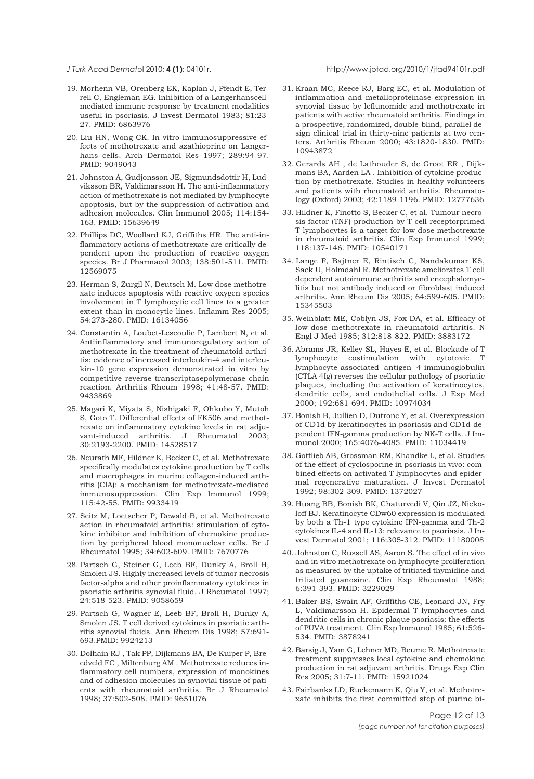#### 19. Morhenn VB, Orenberg EK, Kaplan J, Pfendt E, Terrell C, Engleman EG. Inhibition of a Langerhanscellmediated immune response by treatment modalities useful in psoriasis. J Invest Dermatol 1983; 81:23- 27. PMID: 6863976

- 20. Liu HN, Wong CK. In vitro immunosuppressive effects of methotrexate and azathioprine on Langerhans cells. Arch Dermatol Res 1997; 289:94-97. PMID: 9049043
- 21. Johnston A, Gudjonsson JE, Sigmundsdottir H, Ludviksson BR, Valdimarsson H. The anti-inflammatory action of methotrexate is not mediated by lymphocyte apoptosis, but by the suppression of activation and adhesion molecules. Clin Immunol 2005; 114:154- 163. PMID: 15639649
- 22. Phillips DC, Woollard KJ, Griffiths HR. The anti-inflammatory actions of methotrexate are critically dependent upon the production of reactive oxygen species. Br J Pharmacol 2003; 138:501-511. PMID: 12569075
- 23. Herman S, Zurgil N, Deutsch M. Low dose methotrexate induces apoptosis with reactive oxygen species involvement in T lymphocytic cell lines to a greater extent than in monocytic lines. Inflamm Res 2005; 54:273-280. PMID: 16134056
- 24. Constantin A, Loubet-Lescoulie P, Lambert N, et al. Antiinflammatory and immunoregulatory action of methotrexate in the treatment of rheumatoid arthritis: evidence of increased interleukin-4 and interleukin-10 gene expression demonstrated in vitro by competitive reverse transcriptasepolymerase chain reaction. Arthritis Rheum 1998; 41:48-57. PMID: 9433869
- 25. Magari K, Miyata S, Nishigaki F, Ohkubo Y, Mutoh S, Goto T. Differential effects of FK506 and methotrexate on inflammatory cytokine levels in rat adjuvant-induced arthritis. J Rheumatol 2003; 30:2193-2200. PMID: 14528517
- 26. Neurath MF, Hildner K, Becker C, et al. Methotrexate specifically modulates cytokine production by T cells and macrophages in murine collagen-induced arthritis (CIA): a mechanism for methotrexate-mediated immunosuppression. Clin Exp Immunol 1999; 115:42-55. PMID: 9933419
- 27. Seitz M, Loetscher P, Dewald B, et al. Methotrexate action in rheumatoid arthritis: stimulation of cytokine inhibitor and inhibition of chemokine production by peripheral blood mononuclear cells. Br J Rheumatol 1995; 34:602-609. PMID: 7670776
- 28. Partsch G, Steiner G, Leeb BF, Dunky A, Broll H, Smolen JS. Highly increased levels of tumor necrosis factor-alpha and other proinflammatory cytokines in psoriatic arthritis synovial fluid. J Rheumatol 1997; 24:518-523. PMID: 9058659
- 29. Partsch G, Wagner E, Leeb BF, Broll H, Dunky A, Smolen JS. T cell derived cytokines in psoriatic arthritis synovial fluids. Ann Rheum Dis 1998; 57:691- 693.PMID: 9924213
- 30. Dolhain RJ , Tak PP, Dijkmans BA, De Kuiper P, Breedveld FC , Miltenburg AM . Methotrexate reduces inflammatory cell numbers, expression of monokines and of adhesion molecules in synovial tissue of patients with rheumatoid arthritis. Br J Rheumatol 1998; 37:502-508. PMID: 9651076

#### *J Turk Acad Dermato*l 2010; **4 (1)**: 04101r. http://www.jotad.org/2010/1/jtad94101r.pdf

- 31. Kraan MC, Reece RJ, Barg EC, et al. Modulation of inflammation and metalloproteinase expression in synovial tissue by leflunomide and methotrexate in patients with active rheumatoid arthritis. Findings in a prospective, randomized, double-blind, parallel design clinical trial in thirty-nine patients at two centers. Arthritis Rheum 2000; 43:1820-1830. PMID: 10943872
- 32. Gerards AH , de Lathouder S, de Groot ER , Dijkmans BA, Aarden LA . Inhibition of cytokine production by methotrexate. Studies in healthy volunteers and patients with rheumatoid arthritis. Rheumatology (Oxford) 2003; 42:1189-1196. PMID: 12777636
- 33. Hildner K, Finotto S, Becker C, et al. Tumour necrosis factor (TNF) production by T cell receptorprimed T lymphocytes is a target for low dose methotrexate in rheumatoid arthritis. Clin Exp Immunol 1999; 118:137-146. PMID: 10540171
- 34. Lange F, Bajtner E, Rintisch C, Nandakumar KS, Sack U, Holmdahl R. Methotrexate ameliorates T cell dependent autoimmune arthritis and encephalomyelitis but not antibody induced or fibroblast induced arthritis. Ann Rheum Dis 2005; 64:599-605. PMID: 15345503
- 35. Weinblatt ME, Coblyn JS, Fox DA, et al. Efficacy of low-dose methotrexate in rheumatoid arthritis. N Engl J Med 1985; 312:818-822. PMID: 3883172
- 36. Abrams JR, Kelley SL, Hayes E, et al. Blockade of T lymphocyte costimulation with cytotoxic lymphocyte-associated antigen 4-immunoglobulin (CTLA 4Ig) reverses the cellular pathology of psoriatic plaques, including the activation of keratinocytes, dendritic cells, and endothelial cells. J Exp Med 2000; 192:681-694. PMID: 10974034
- 37. Bonish B, Jullien D, Dutronc Y, et al. Overexpression of CD1d by keratinocytes in psoriasis and CD1d-dependent IFN-gamma production by NK-T cells. J Immunol 2000; 165:4076-4085. PMID: 11034419
- 38. Gottlieb AB, Grossman RM, Khandke L, et al. Studies of the effect of cyclosporine in psoriasis in vivo: combined effects on activated T lymphocytes and epidermal regenerative maturation. J Invest Dermatol 1992; 98:302-309. PMID: 1372027
- 39. Huang BB, Bonish BK, Chaturvedi V, Qin JZ, Nickoloff BJ. Keratinocyte CDw60 expression is modulated by both a Th-1 type cytokine IFN-gamma and Th-2 cytokines IL-4 and IL-13: relevance to psoriasis. J Invest Dermatol 2001; 116:305-312. PMID: 11180008
- 40. Johnston C, Russell AS, Aaron S. The effect of in vivo and in vitro methotrexate on lymphocyte proliferation as measured by the uptake of tritiated thymidine and tritiated guanosine. Clin Exp Rheumatol 1988; 6:391-393. PMID: 3229029
- 41. Baker BS, Swain AF, Griffiths CE, Leonard JN, Fry L, Valdimarsson H. Epidermal T lymphocytes and dendritic cells in chronic plaque psoriasis: the effects of PUVA treatment. Clin Exp Immunol 1985; 61:526- 534. PMID: 3878241
- 42. Barsig J, Yam G, Lehner MD, Beume R. Methotrexate treatment suppresses local cytokine and chemokine production in rat adjuvant arthritis. Drugs Exp Clin Res 2005; 31:7-11. PMID: 15921024
- 43. Fairbanks LD, Ruckemann K, Qiu Y, et al. Methotrexate inhibits the first committed step of purine bi-